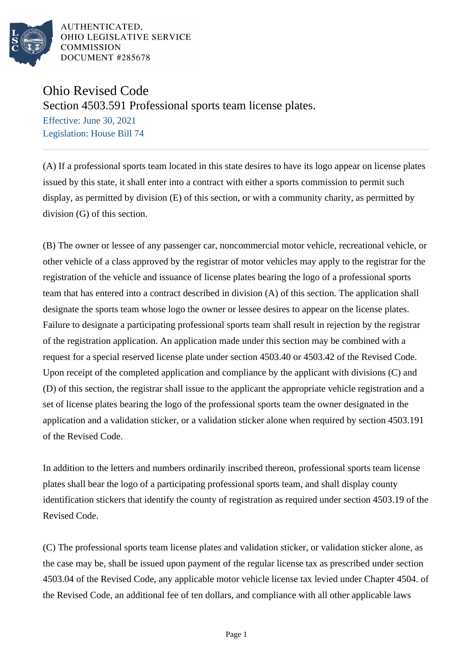

AUTHENTICATED. OHIO LEGISLATIVE SERVICE **COMMISSION** DOCUMENT #285678

Ohio Revised Code

Section 4503.591 Professional sports team license plates.

Effective: June 30, 2021 Legislation: House Bill 74

(A) If a professional sports team located in this state desires to have its logo appear on license plates issued by this state, it shall enter into a contract with either a sports commission to permit such display, as permitted by division (E) of this section, or with a community charity, as permitted by division (G) of this section.

(B) The owner or lessee of any passenger car, noncommercial motor vehicle, recreational vehicle, or other vehicle of a class approved by the registrar of motor vehicles may apply to the registrar for the registration of the vehicle and issuance of license plates bearing the logo of a professional sports team that has entered into a contract described in division (A) of this section. The application shall designate the sports team whose logo the owner or lessee desires to appear on the license plates. Failure to designate a participating professional sports team shall result in rejection by the registrar of the registration application. An application made under this section may be combined with a request for a special reserved license plate under section 4503.40 or 4503.42 of the Revised Code. Upon receipt of the completed application and compliance by the applicant with divisions (C) and (D) of this section, the registrar shall issue to the applicant the appropriate vehicle registration and a set of license plates bearing the logo of the professional sports team the owner designated in the application and a validation sticker, or a validation sticker alone when required by section 4503.191 of the Revised Code.

In addition to the letters and numbers ordinarily inscribed thereon, professional sports team license plates shall bear the logo of a participating professional sports team, and shall display county identification stickers that identify the county of registration as required under section 4503.19 of the Revised Code.

(C) The professional sports team license plates and validation sticker, or validation sticker alone, as the case may be, shall be issued upon payment of the regular license tax as prescribed under section 4503.04 of the Revised Code, any applicable motor vehicle license tax levied under Chapter 4504. of the Revised Code, an additional fee of ten dollars, and compliance with all other applicable laws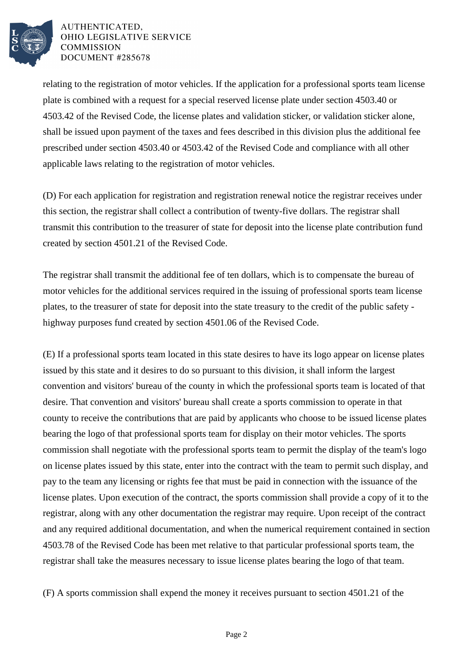

AUTHENTICATED. OHIO LEGISLATIVE SERVICE **COMMISSION** DOCUMENT #285678

relating to the registration of motor vehicles. If the application for a professional sports team license plate is combined with a request for a special reserved license plate under section 4503.40 or 4503.42 of the Revised Code, the license plates and validation sticker, or validation sticker alone, shall be issued upon payment of the taxes and fees described in this division plus the additional fee prescribed under section 4503.40 or 4503.42 of the Revised Code and compliance with all other applicable laws relating to the registration of motor vehicles.

(D) For each application for registration and registration renewal notice the registrar receives under this section, the registrar shall collect a contribution of twenty-five dollars. The registrar shall transmit this contribution to the treasurer of state for deposit into the license plate contribution fund created by section 4501.21 of the Revised Code.

The registrar shall transmit the additional fee of ten dollars, which is to compensate the bureau of motor vehicles for the additional services required in the issuing of professional sports team license plates, to the treasurer of state for deposit into the state treasury to the credit of the public safety highway purposes fund created by section 4501.06 of the Revised Code.

(E) If a professional sports team located in this state desires to have its logo appear on license plates issued by this state and it desires to do so pursuant to this division, it shall inform the largest convention and visitors' bureau of the county in which the professional sports team is located of that desire. That convention and visitors' bureau shall create a sports commission to operate in that county to receive the contributions that are paid by applicants who choose to be issued license plates bearing the logo of that professional sports team for display on their motor vehicles. The sports commission shall negotiate with the professional sports team to permit the display of the team's logo on license plates issued by this state, enter into the contract with the team to permit such display, and pay to the team any licensing or rights fee that must be paid in connection with the issuance of the license plates. Upon execution of the contract, the sports commission shall provide a copy of it to the registrar, along with any other documentation the registrar may require. Upon receipt of the contract and any required additional documentation, and when the numerical requirement contained in section 4503.78 of the Revised Code has been met relative to that particular professional sports team, the registrar shall take the measures necessary to issue license plates bearing the logo of that team.

(F) A sports commission shall expend the money it receives pursuant to section 4501.21 of the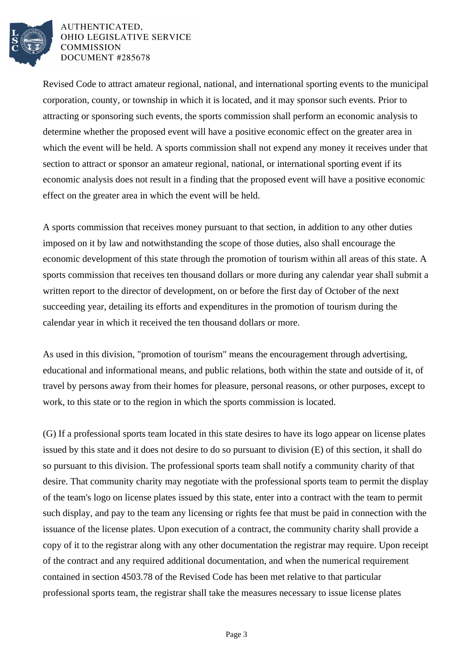

AUTHENTICATED. OHIO LEGISLATIVE SERVICE **COMMISSION** DOCUMENT #285678

Revised Code to attract amateur regional, national, and international sporting events to the municipal corporation, county, or township in which it is located, and it may sponsor such events. Prior to attracting or sponsoring such events, the sports commission shall perform an economic analysis to determine whether the proposed event will have a positive economic effect on the greater area in which the event will be held. A sports commission shall not expend any money it receives under that section to attract or sponsor an amateur regional, national, or international sporting event if its economic analysis does not result in a finding that the proposed event will have a positive economic effect on the greater area in which the event will be held.

A sports commission that receives money pursuant to that section, in addition to any other duties imposed on it by law and notwithstanding the scope of those duties, also shall encourage the economic development of this state through the promotion of tourism within all areas of this state. A sports commission that receives ten thousand dollars or more during any calendar year shall submit a written report to the director of development, on or before the first day of October of the next succeeding year, detailing its efforts and expenditures in the promotion of tourism during the calendar year in which it received the ten thousand dollars or more.

As used in this division, "promotion of tourism" means the encouragement through advertising, educational and informational means, and public relations, both within the state and outside of it, of travel by persons away from their homes for pleasure, personal reasons, or other purposes, except to work, to this state or to the region in which the sports commission is located.

(G) If a professional sports team located in this state desires to have its logo appear on license plates issued by this state and it does not desire to do so pursuant to division (E) of this section, it shall do so pursuant to this division. The professional sports team shall notify a community charity of that desire. That community charity may negotiate with the professional sports team to permit the display of the team's logo on license plates issued by this state, enter into a contract with the team to permit such display, and pay to the team any licensing or rights fee that must be paid in connection with the issuance of the license plates. Upon execution of a contract, the community charity shall provide a copy of it to the registrar along with any other documentation the registrar may require. Upon receipt of the contract and any required additional documentation, and when the numerical requirement contained in section 4503.78 of the Revised Code has been met relative to that particular professional sports team, the registrar shall take the measures necessary to issue license plates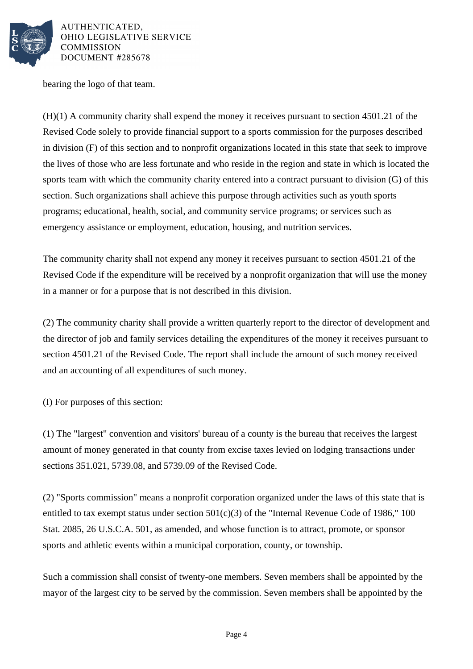

AUTHENTICATED, OHIO LEGISLATIVE SERVICE **COMMISSION** DOCUMENT #285678

bearing the logo of that team.

(H)(1) A community charity shall expend the money it receives pursuant to section 4501.21 of the Revised Code solely to provide financial support to a sports commission for the purposes described in division (F) of this section and to nonprofit organizations located in this state that seek to improve the lives of those who are less fortunate and who reside in the region and state in which is located the sports team with which the community charity entered into a contract pursuant to division (G) of this section. Such organizations shall achieve this purpose through activities such as youth sports programs; educational, health, social, and community service programs; or services such as emergency assistance or employment, education, housing, and nutrition services.

The community charity shall not expend any money it receives pursuant to section 4501.21 of the Revised Code if the expenditure will be received by a nonprofit organization that will use the money in a manner or for a purpose that is not described in this division.

(2) The community charity shall provide a written quarterly report to the director of development and the director of job and family services detailing the expenditures of the money it receives pursuant to section 4501.21 of the Revised Code. The report shall include the amount of such money received and an accounting of all expenditures of such money.

(I) For purposes of this section:

(1) The "largest" convention and visitors' bureau of a county is the bureau that receives the largest amount of money generated in that county from excise taxes levied on lodging transactions under sections 351.021, 5739.08, and 5739.09 of the Revised Code.

(2) "Sports commission" means a nonprofit corporation organized under the laws of this state that is entitled to tax exempt status under section  $501(c)(3)$  of the "Internal Revenue Code of 1986," 100 Stat. 2085, 26 U.S.C.A. 501, as amended, and whose function is to attract, promote, or sponsor sports and athletic events within a municipal corporation, county, or township.

Such a commission shall consist of twenty-one members. Seven members shall be appointed by the mayor of the largest city to be served by the commission. Seven members shall be appointed by the